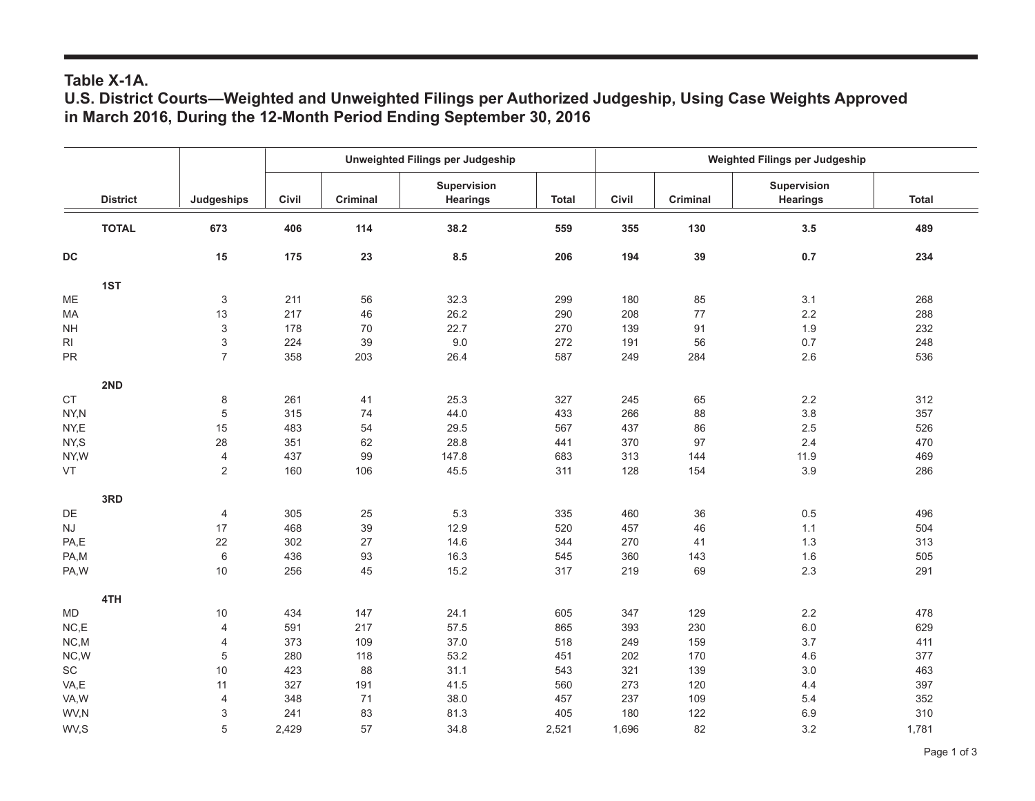## **Table X-1A.**

**U.S. District Courts—Weighted and Unweighted Filings per Authorized Judgeship, Using Case Weights Approved in March 2016, During the 12-Month Period Ending September 30, 2016**

|                             |                 |                           | Unweighted Filings per Judgeship |          |                                | Weighted Filings per Judgeship |       |                 |                                |              |
|-----------------------------|-----------------|---------------------------|----------------------------------|----------|--------------------------------|--------------------------------|-------|-----------------|--------------------------------|--------------|
|                             | <b>District</b> | Judgeships                | Civil                            | Criminal | Supervision<br><b>Hearings</b> | <b>Total</b>                   | Civil | <b>Criminal</b> | Supervision<br><b>Hearings</b> | <b>Total</b> |
|                             | <b>TOTAL</b>    | 673                       | 406                              | 114      | 38.2                           | 559                            | 355   | 130             | 3.5                            | 489          |
| <b>DC</b>                   |                 | 15                        | 175                              | 23       | 8.5                            | 206                            | 194   | 39              | 0.7                            | 234          |
| 1ST                         |                 |                           |                                  |          |                                |                                |       |                 |                                |              |
| ME                          |                 | 3                         | 211                              | 56       | 32.3                           | 299                            | 180   | 85              | 3.1                            | 268          |
| MA                          |                 | 13                        | 217                              | 46       | 26.2                           | 290                            | 208   | 77              | $2.2\,$                        | 288          |
| <b>NH</b>                   |                 | $\ensuremath{\mathsf{3}}$ | 178                              | $70\,$   | 22.7                           | 270                            | 139   | 91              | 1.9                            | 232          |
| $\mathsf{RI}$               |                 | 3                         | 224                              | 39       | 9.0                            | 272                            | 191   | 56              | $0.7\,$                        | 248          |
| <b>PR</b>                   |                 | $\overline{7}$            | 358                              | 203      | 26.4                           | 587                            | 249   | 284             | 2.6                            | 536          |
| 2ND                         |                 |                           |                                  |          |                                |                                |       |                 |                                |              |
| $\mathsf{CT}$               |                 | $\,$ 8 $\,$               | 261                              | 41       | 25.3                           | 327                            | 245   | 65              | $2.2\,$                        | 312          |
| NY,N                        |                 | $\,$ 5 $\,$               | 315                              | 74       | 44.0                           | 433                            | 266   | 88              | $3.8\,$                        | 357          |
| NY,E                        |                 | 15                        | 483                              | 54       | 29.5                           | 567                            | 437   | 86              | 2.5                            | 526          |
| NY,S                        |                 | 28                        | 351                              | 62       | 28.8                           | 441                            | 370   | 97              | 2.4                            | 470          |
| NY,W                        |                 | $\overline{4}$            | 437                              | 99       | 147.8                          | 683                            | 313   | 144             | 11.9                           | 469          |
| VT                          |                 | $\overline{2}$            | 160                              | 106      | 45.5                           | 311                            | 128   | 154             | 3.9                            | 286          |
| 3RD                         |                 |                           |                                  |          |                                |                                |       |                 |                                |              |
| DE                          |                 | $\overline{4}$            | 305                              | 25       | 5.3                            | 335                            | 460   | 36              | 0.5                            | 496          |
| $\mathsf{N}\mathsf{J}$      |                 | 17                        | 468                              | 39       | 12.9                           | 520                            | 457   | 46              | 1.1                            | 504          |
| PA,E                        |                 | 22                        | 302                              | 27       | 14.6                           | 344                            | 270   | 41              | 1.3                            | 313          |
| PA,M                        |                 | $\,6\,$                   | 436                              | 93       | 16.3                           | 545                            | 360   | 143             | 1.6                            | 505          |
| PA, W                       |                 | $10$                      | 256                              | 45       | 15.2                           | 317                            | 219   | 69              | $2.3\,$                        | 291          |
| 4TH                         |                 |                           |                                  |          |                                |                                |       |                 |                                |              |
| <b>MD</b>                   |                 | 10                        | 434                              | 147      | 24.1                           | 605                            | 347   | 129             | 2.2                            | 478          |
| NC, E                       |                 | $\overline{\mathcal{L}}$  | 591                              | 217      | 57.5                           | 865                            | 393   | 230             | $6.0\,$                        | 629          |
| NC.M                        |                 | $\overline{4}$            | 373                              | 109      | 37.0                           | 518                            | 249   | 159             | 3.7                            | 411          |
| NC,W                        |                 | $\,$ 5 $\,$               | 280                              | 118      | 53.2                           | 451                            | 202   | 170             | 4.6                            | 377          |
| $\protect\operatorname{SC}$ |                 | 10                        | 423                              | 88       | 31.1                           | 543                            | 321   | 139             | 3.0                            | 463          |
| VA,E                        |                 | 11                        | 327                              | 191      | 41.5                           | 560                            | 273   | 120             | 4.4                            | 397          |
| VA, W                       |                 | $\overline{\mathcal{L}}$  | 348                              | 71       | 38.0                           | 457                            | 237   | 109             | 5.4                            | 352          |
| WV,N                        |                 | 3                         | 241                              | 83       | 81.3                           | 405                            | 180   | 122             | 6.9                            | 310          |
| WV,S                        |                 | 5                         | 2,429                            | 57       | 34.8                           | 2,521                          | 1,696 | 82              | 3.2                            | 1,781        |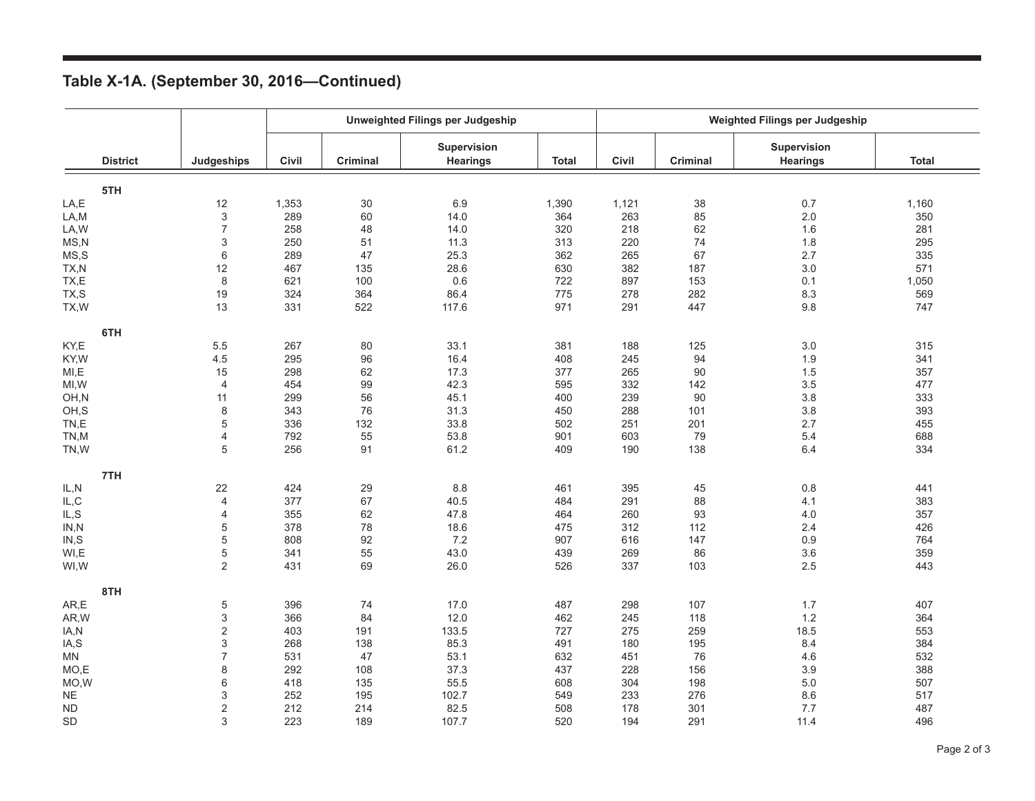|  | Table X-1A. (September 30, 2016-Continued) |  |  |
|--|--------------------------------------------|--|--|
|--|--------------------------------------------|--|--|

|           |                 |                         | <b>Unweighted Filings per Judgeship</b> |                 |                                |              | Weighted Filings per Judgeship |                 |                                       |              |
|-----------|-----------------|-------------------------|-----------------------------------------|-----------------|--------------------------------|--------------|--------------------------------|-----------------|---------------------------------------|--------------|
|           | <b>District</b> | Judgeships              | Civil                                   | <b>Criminal</b> | Supervision<br><b>Hearings</b> | <b>Total</b> | Civil                          | <b>Criminal</b> | <b>Supervision</b><br><b>Hearings</b> | <b>Total</b> |
|           | 5TH             |                         |                                         |                 |                                |              |                                |                 |                                       |              |
| LA,E      |                 | 12                      | 1,353                                   | 30              | 6.9                            | 1,390        | 1,121                          | 38              | 0.7                                   | 1,160        |
| LA,M      |                 | 3                       | 289                                     | 60              | 14.0                           | 364          | 263                            | 85              | 2.0                                   | 350          |
| LA, W     |                 | $\overline{7}$          | 258                                     | 48              | 14.0                           | 320          | 218                            | 62              | 1.6                                   | 281          |
| MS, N     |                 | 3                       | 250                                     | 51              | 11.3                           | 313          | 220                            | 74              | 1.8                                   | 295          |
| MS,S      |                 | 6                       | 289                                     | 47              | 25.3                           | 362          | 265                            | 67              | 2.7                                   | 335          |
| TX,N      |                 | 12                      | 467                                     | 135             | 28.6                           | 630          | 382                            | 187             | 3.0                                   | 571          |
| TX,E      |                 | 8                       | 621                                     | 100             | 0.6                            | 722          | 897                            | 153             | 0.1                                   | 1,050        |
| TX,S      |                 | 19                      | 324                                     | 364             | 86.4                           | 775          | 278                            | 282             | 8.3                                   | 569          |
| TX, W     |                 | 13                      | 331                                     | 522             | 117.6                          | 971          | 291                            | 447             | 9.8                                   | 747          |
|           | 6TH             |                         |                                         |                 |                                |              |                                |                 |                                       |              |
| KY,E      |                 | 5.5                     | 267                                     | 80              | 33.1                           | 381          | 188                            | 125             | 3.0                                   | 315          |
| KY, W     |                 | 4.5                     | 295                                     | 96              | 16.4                           | 408          | 245                            | 94              | 1.9                                   | 341          |
| MI, E     |                 | 15                      | 298                                     | 62              | 17.3                           | 377          | 265                            | 90              | 1.5                                   | 357          |
| MI,W      |                 | $\overline{4}$          | 454                                     | 99              | 42.3                           | 595          | 332                            | 142             | 3.5                                   | 477          |
| OH,N      |                 | 11                      | 299                                     | 56              | 45.1                           | 400          | 239                            | 90              | 3.8                                   | 333          |
| OH,S      |                 | 8                       | 343                                     | 76              | 31.3                           | 450          | 288                            | 101             | 3.8                                   | 393          |
| TN,E      |                 | 5                       | 336                                     | 132             | 33.8                           | 502          | 251                            | 201             | 2.7                                   | 455          |
| TN,M      |                 | 4                       | 792                                     | 55              | 53.8                           | 901          | 603                            | 79              | 5.4                                   | 688          |
| TN,W      |                 | 5                       | 256                                     | 91              | 61.2                           | 409          | 190                            | 138             | 6.4                                   | 334          |
|           | 7TH             |                         |                                         |                 |                                |              |                                |                 |                                       |              |
| IL, N     |                 | 22                      | 424                                     | 29              | 8.8                            | 461          | 395                            | 45              | $0.8\,$                               | 441          |
| IL, C     |                 | 4                       | 377                                     | 67              | 40.5                           | 484          | 291                            | 88              | 4.1                                   | 383          |
| IL, S     |                 | 4                       | 355                                     | 62              | 47.8                           | 464          | 260                            | 93              | 4.0                                   | 357          |
| IN, N     |                 | 5                       | 378                                     | 78              | 18.6                           | 475          | 312                            | 112             | 2.4                                   | 426          |
| IN, S     |                 | 5                       | 808                                     | 92              | 7.2                            | 907          | 616                            | 147             | 0.9                                   | 764          |
| WI,E      |                 | 5                       | 341                                     | 55              | 43.0                           | 439          | 269                            | 86              | 3.6                                   | 359          |
| WI, W     |                 | $\overline{2}$          | 431                                     | 69              | 26.0                           | 526          | 337                            | 103             | 2.5                                   | 443          |
|           | 8TH             |                         |                                         |                 |                                |              |                                |                 |                                       |              |
| AR, E     |                 | 5                       | 396                                     | 74              | 17.0                           | 487          | 298                            | 107             | 1.7                                   | 407          |
| AR, W     |                 | 3                       | 366                                     | 84              | 12.0                           | 462          | 245                            | 118             | 1.2                                   | 364          |
| IA,N      |                 | $\mathbf 2$             | 403                                     | 191             | 133.5                          | 727          | 275                            | 259             | 18.5                                  | 553          |
| IA,S      |                 | 3                       | 268                                     | 138             | 85.3                           | 491          | 180                            | 195             | 8.4                                   | 384          |
| <b>MN</b> |                 | $\overline{7}$          | 531                                     | 47              | 53.1                           | 632          | 451                            | 76              | 4.6                                   | 532          |
| MO,E      |                 | 8                       | 292                                     | 108             | 37.3                           | 437          | 228                            | 156             | 3.9                                   | 388          |
| MO,W      |                 | 6                       | 418                                     | 135             | 55.5                           | 608          | 304                            | 198             | 5.0                                   | 507          |
| <b>NE</b> |                 | 3                       | 252                                     | 195             | 102.7                          | 549          | 233                            | 276             | 8.6                                   | 517          |
| <b>ND</b> |                 | $\overline{\mathbf{c}}$ | 212                                     | 214             | 82.5                           | 508          | 178                            | 301             | 7.7                                   | 487          |
| <b>SD</b> |                 | 3                       | 223                                     | 189             | 107.7                          | 520          | 194                            | 291             | 11.4                                  | 496          |